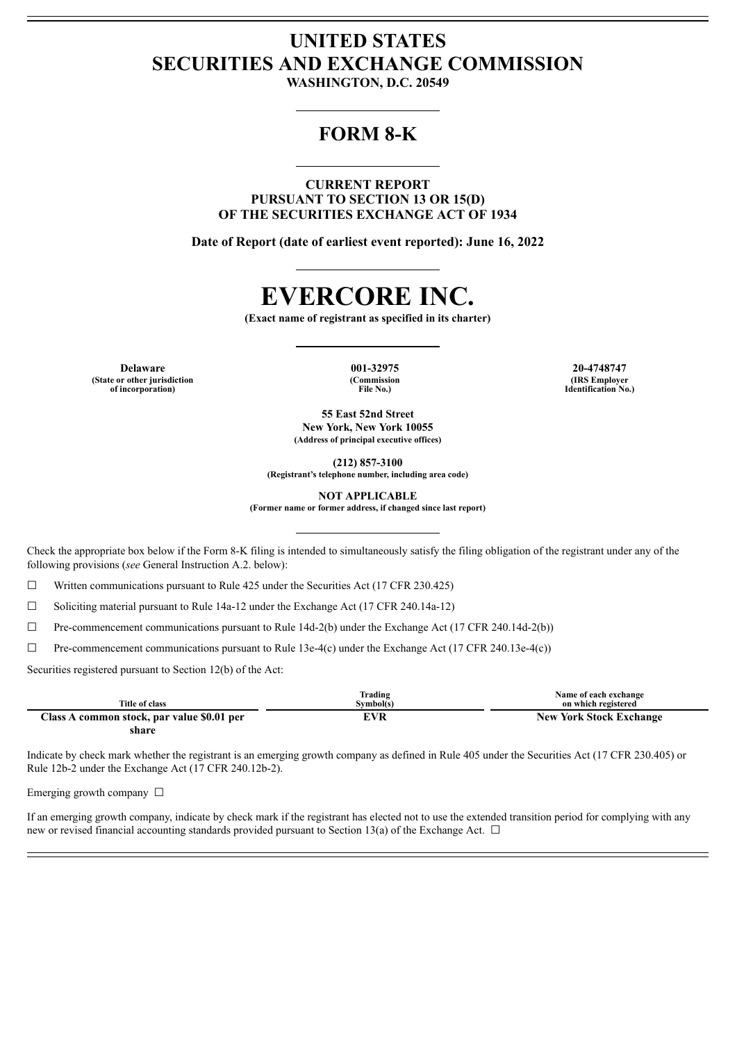## **UNITED STATES SECURITIES AND EXCHANGE COMMISSION**

**WASHINGTON, D.C. 20549**

### **FORM 8-K**

**CURRENT REPORT PURSUANT TO SECTION 13 OR 15(D) OF THE SECURITIES EXCHANGE ACT OF 1934**

**Date of Report (date of earliest event reported): June 16, 2022**

# **EVERCORE INC.**

**(Exact name of registrant as specified in its charter)**

**Delaware 001-32975 20-4748747 (State or other jurisdiction of incorporation)**

**(Commission File No.)**

**(IRS Employer Identification No.)**

**55 East 52nd Street New York, New York 10055 (Address of principal executive offices)**

**(212) 857-3100**

**(Registrant's telephone number, including area code)**

**NOT APPLICABLE**

**(Former name or former address, if changed since last report)**

Check the appropriate box below if the Form 8-K filing is intended to simultaneously satisfy the filing obligation of the registrant under any of the following provisions (*see* General Instruction A.2. below):

 $\Box$  Written communications pursuant to Rule 425 under the Securities Act (17 CFR 230.425)

 $\Box$  Soliciting material pursuant to Rule 14a-12 under the Exchange Act (17 CFR 240.14a-12)

 $\Box$  Pre-commencement communications pursuant to Rule 14d-2(b) under the Exchange Act (17 CFR 240.14d-2(b))

☐ Pre-commencement communications pursuant to Rule 13e-4(c) under the Exchange Act (17 CFR 240.13e-4(c))

Securities registered pursuant to Section 12(b) of the Act:

|                                            | Trading   | Name of each exchange          |
|--------------------------------------------|-----------|--------------------------------|
| Title of class                             | Symbol(s) | on which registered            |
| Class A common stock, par value \$0.01 per | EVR       | <b>New York Stock Exchange</b> |
| share                                      |           |                                |

Indicate by check mark whether the registrant is an emerging growth company as defined in Rule 405 under the Securities Act (17 CFR 230.405) or Rule 12b-2 under the Exchange Act (17 CFR 240.12b-2).

Emerging growth company  $\Box$ 

If an emerging growth company, indicate by check mark if the registrant has elected not to use the extended transition period for complying with any new or revised financial accounting standards provided pursuant to Section 13(a) of the Exchange Act.  $\Box$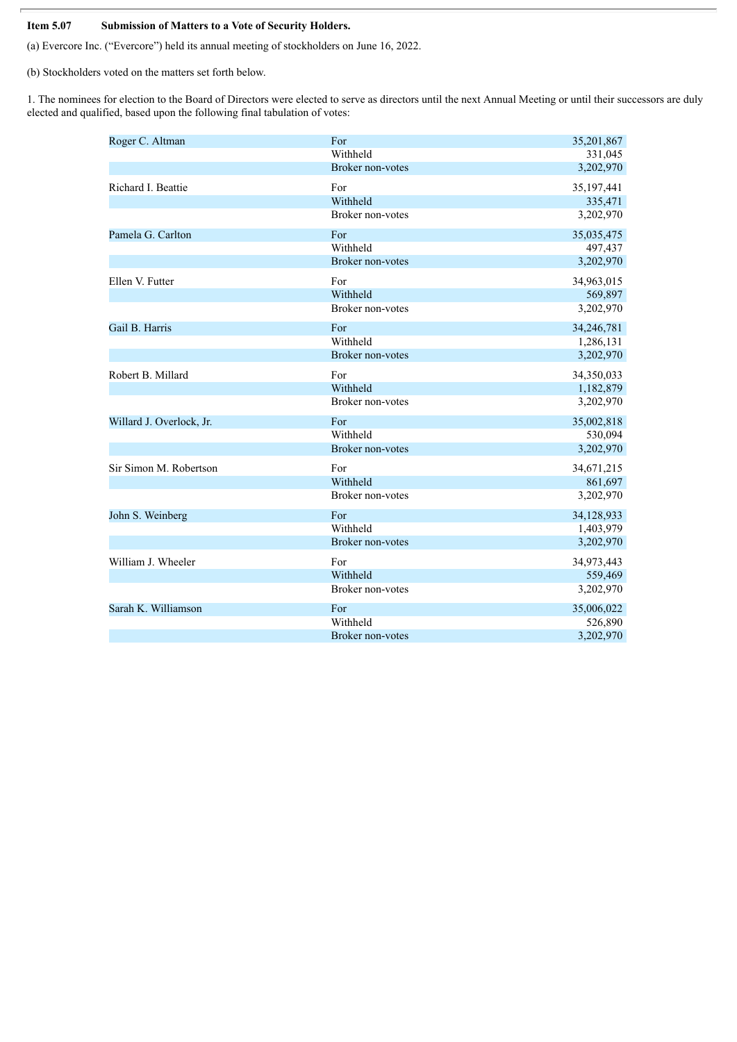#### **Item 5.07 Submission of Matters to a Vote of Security Holders.**

(a) Evercore Inc. ("Evercore") held its annual meeting of stockholders on June 16, 2022.

(b) Stockholders voted on the matters set forth below.

1. The nominees for election to the Board of Directors were elected to serve as directors until the next Annual Meeting or until their successors are duly elected and qualified, based upon the following final tabulation of votes:

| Roger C. Altman          | For                     | 35,201,867 |
|--------------------------|-------------------------|------------|
|                          | Withheld                | 331,045    |
|                          | Broker non-votes        | 3,202,970  |
| Richard I. Beattie       | For                     | 35,197,441 |
|                          | Withheld                | 335,471    |
|                          | Broker non-votes        | 3,202,970  |
| Pamela G. Carlton        | For                     | 35,035,475 |
|                          | Withheld                | 497,437    |
|                          | <b>Broker non-votes</b> | 3,202,970  |
| Ellen V. Futter          | For                     | 34,963,015 |
|                          | Withheld                | 569,897    |
|                          | <b>Broker non-votes</b> | 3,202,970  |
| Gail B. Harris           | For                     | 34,246,781 |
|                          | Withheld                | 1,286,131  |
|                          | <b>Broker non-votes</b> | 3,202,970  |
| Robert B. Millard        | For                     | 34,350,033 |
|                          | Withheld                | 1,182,879  |
|                          | <b>Broker non-votes</b> | 3,202,970  |
| Willard J. Overlock, Jr. | For                     | 35,002,818 |
|                          | Withheld                | 530,094    |
|                          | Broker non-votes        | 3,202,970  |
| Sir Simon M. Robertson   | For                     | 34,671,215 |
|                          | Withheld                | 861,697    |
|                          | Broker non-votes        | 3,202,970  |
| John S. Weinberg         | For                     | 34,128,933 |
|                          | Withheld                | 1,403,979  |
|                          | <b>Broker non-votes</b> | 3,202,970  |
| William J. Wheeler       | For                     | 34,973,443 |
|                          | Withheld                | 559,469    |
|                          | <b>Broker non-votes</b> | 3,202,970  |
| Sarah K. Williamson      | For                     | 35,006,022 |
|                          | Withheld                | 526,890    |
|                          | <b>Broker non-votes</b> | 3,202,970  |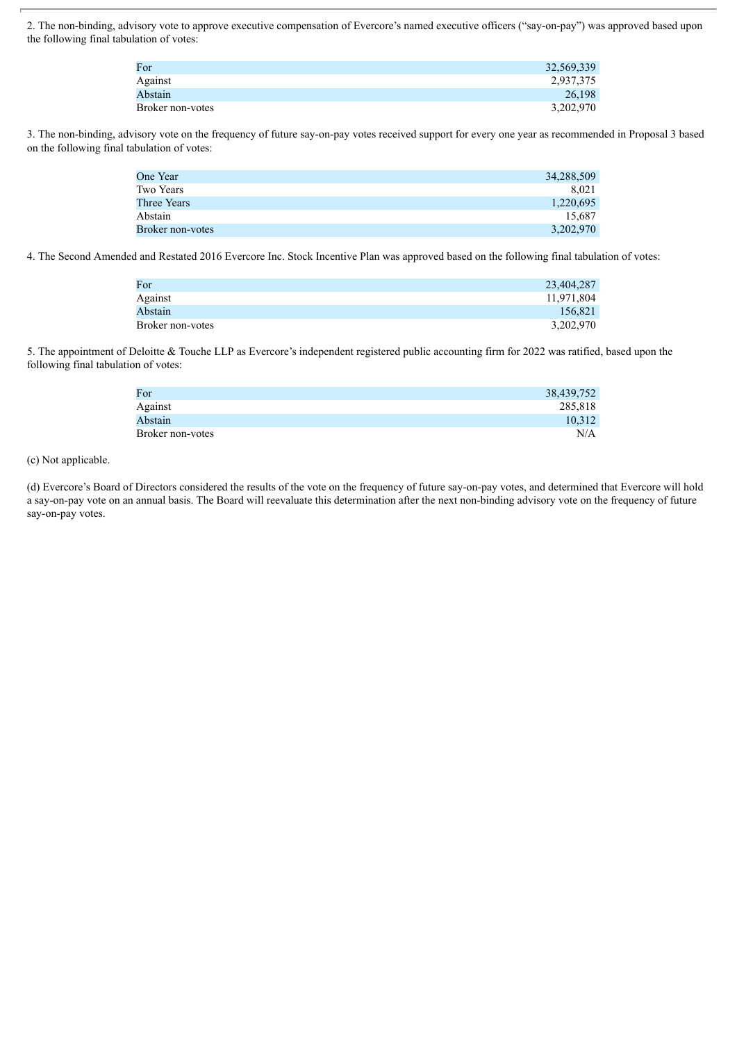2. The non-binding, advisory vote to approve executive compensation of Evercore's named executive officers ("say-on-pay") was approved based upon the following final tabulation of votes:

| For              | 32,569,339 |
|------------------|------------|
| Against          | 2,937,375  |
| Abstain          | 26.198     |
| Broker non-votes | 3,202,970  |

3. The non-binding, advisory vote on the frequency of future say-on-pay votes received support for every one year as recommended in Proposal 3 based on the following final tabulation of votes:

| One Year         | 34,288,509 |
|------------------|------------|
| Two Years        | 8.021      |
| Three Years      | 1,220,695  |
| Abstain          | 15.687     |
| Broker non-votes | 3,202,970  |

4. The Second Amended and Restated 2016 Evercore Inc. Stock Incentive Plan was approved based on the following final tabulation of votes:

| For              | 23,404,287 |
|------------------|------------|
| Against          | 11,971,804 |
| Abstain          | 156.821    |
| Broker non-votes | 3,202,970  |

5. The appointment of Deloitte & Touche LLP as Evercore's independent registered public accounting firm for 2022 was ratified, based upon the following final tabulation of votes:

| 38,439,752 |
|------------|
| 285,818    |
| 10,312     |
| N/A        |
|            |

#### (c) Not applicable.

(d) Evercore's Board of Directors considered the results of the vote on the frequency of future say-on-pay votes, and determined that Evercore will hold a say-on-pay vote on an annual basis. The Board will reevaluate this determination after the next non-binding advisory vote on the frequency of future say-on-pay votes.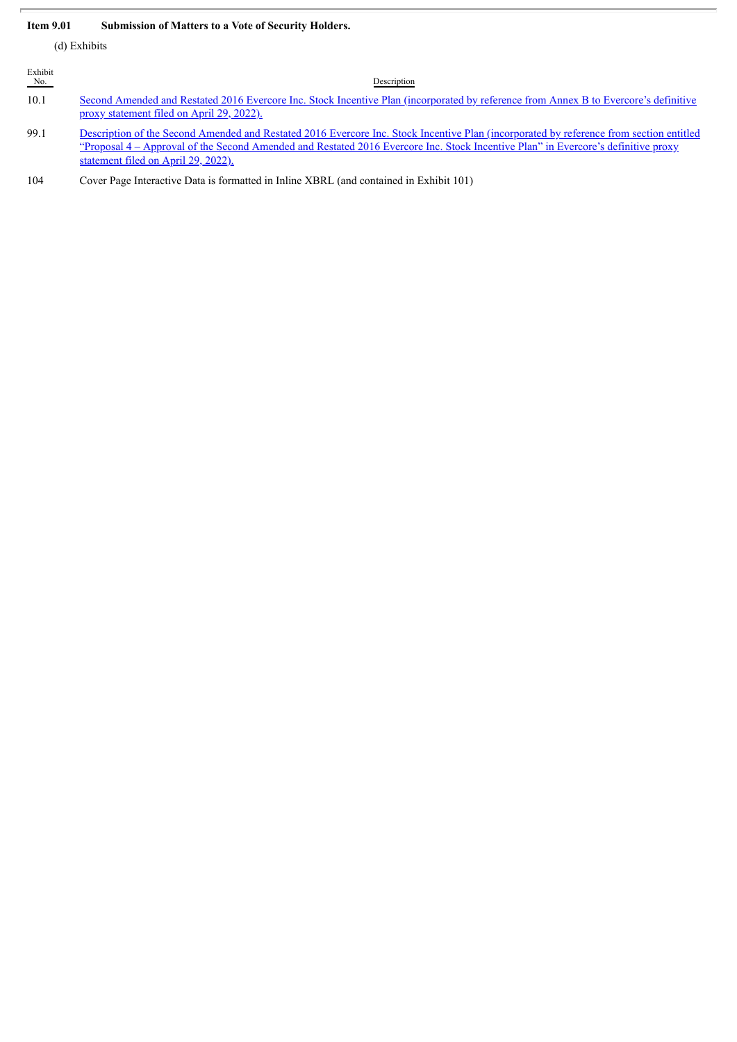#### **Item 9.01 Submission of Matters to a Vote of Security Holders.**

(d) Exhibits

| Exhibit<br>No. | Description                                                                                                                                                                                                                                                                                                         |
|----------------|---------------------------------------------------------------------------------------------------------------------------------------------------------------------------------------------------------------------------------------------------------------------------------------------------------------------|
| 10.1           | Second Amended and Restated 2016 Evercore Inc. Stock Incentive Plan (incorporated by reference from Annex B to Evercore's definitive<br>proxy statement filed on April 29, 2022).                                                                                                                                   |
| 99.1           | Description of the Second Amended and Restated 2016 Evercore Inc. Stock Incentive Plan (incorporated by reference from section entitled<br>"Proposal 4 – Approval of the Second Amended and Restated 2016 Evercore Inc. Stock Incentive Plan" in Evercore's definitive proxy<br>statement filed on April 29, 2022). |
| 104            | Cover Page Interactive Data is formatted in Inline XBRL (and contained in Exhibit 101)                                                                                                                                                                                                                              |